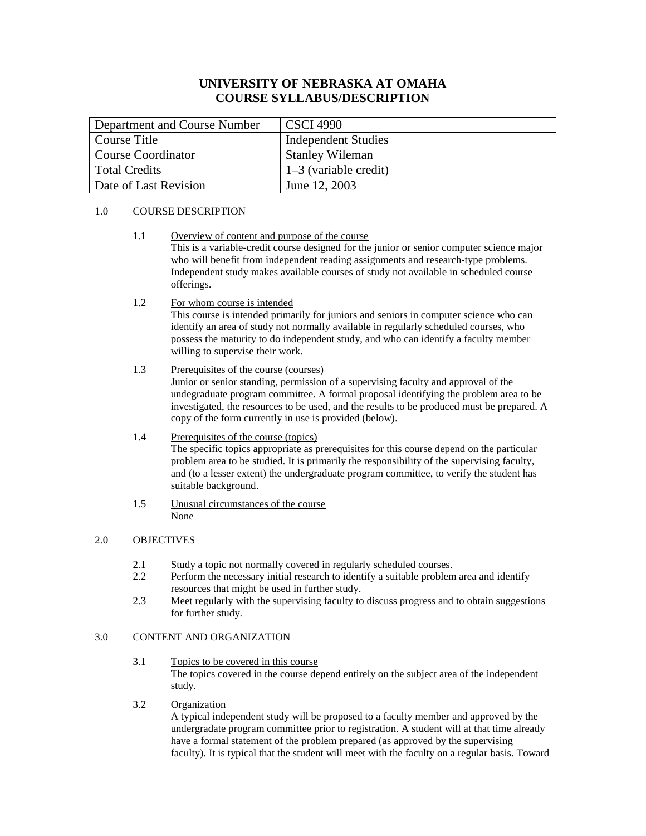# **UNIVERSITY OF NEBRASKA AT OMAHA COURSE SYLLABUS/DESCRIPTION**

| Department and Course Number | <b>CSCI 4990</b>           |
|------------------------------|----------------------------|
| Course Title                 | <b>Independent Studies</b> |
| Course Coordinator           | <b>Stanley Wileman</b>     |
| <b>Total Credits</b>         | $1-3$ (variable credit)    |
| Date of Last Revision        | June 12, 2003              |

### 1.0 COURSE DESCRIPTION

- 1.1 Overview of content and purpose of the course This is a variable-credit course designed for the junior or senior computer science major who will benefit from independent reading assignments and research-type problems. Independent study makes available courses of study not available in scheduled course offerings.
- 1.2 For whom course is intended

This course is intended primarily for juniors and seniors in computer science who can identify an area of study not normally available in regularly scheduled courses, who possess the maturity to do independent study, and who can identify a faculty member willing to supervise their work.

### 1.3 Prerequisites of the course (courses)

Junior or senior standing, permission of a supervising faculty and approval of the undegraduate program committee. A formal proposal identifying the problem area to be investigated, the resources to be used, and the results to be produced must be prepared. A copy of the form currently in use is provided (below).

### 1.4 Prerequisites of the course (topics)

The specific topics appropriate as prerequisites for this course depend on the particular problem area to be studied. It is primarily the responsibility of the supervising faculty, and (to a lesser extent) the undergraduate program committee, to verify the student has suitable background.

1.5 Unusual circumstances of the course None

## 2.0 OBJECTIVES

- 2.1 Study a topic not normally covered in regularly scheduled courses.
- 2.2 Perform the necessary initial research to identify a suitable problem area and identify resources that might be used in further study.
- 2.3 Meet regularly with the supervising faculty to discuss progress and to obtain suggestions for further study.

### 3.0 CONTENT AND ORGANIZATION

- 3.1 Topics to be covered in this course The topics covered in the course depend entirely on the subject area of the independent study.
- 3.2 Organization

A typical independent study will be proposed to a faculty member and approved by the undergradate program committee prior to registration. A student will at that time already have a formal statement of the problem prepared (as approved by the supervising faculty). It is typical that the student will meet with the faculty on a regular basis. Toward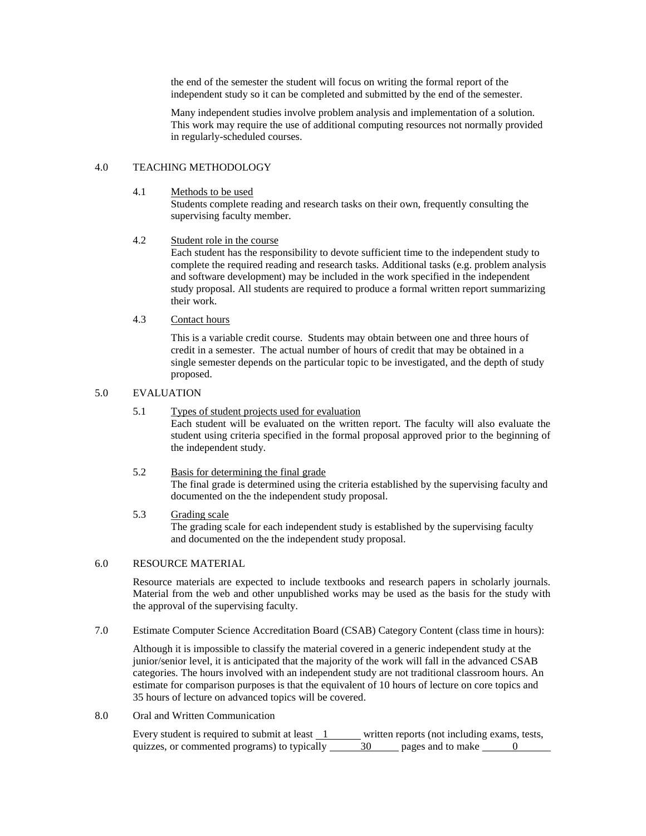the end of the semester the student will focus on writing the formal report of the independent study so it can be completed and submitted by the end of the semester.

Many independent studies involve problem analysis and implementation of a solution. This work may require the use of additional computing resources not normally provided in regularly-scheduled courses.

#### 4.0 TEACHING METHODOLOGY

4.1 Methods to be used

Students complete reading and research tasks on their own, frequently consulting the supervising faculty member.

## 4.2 Student role in the course

Each student has the responsibility to devote sufficient time to the independent study to complete the required reading and research tasks. Additional tasks (e.g. problem analysis and software development) may be included in the work specified in the independent study proposal. All students are required to produce a formal written report summarizing their work.

### 4.3 Contact hours

This is a variable credit course. Students may obtain between one and three hours of credit in a semester. The actual number of hours of credit that may be obtained in a single semester depends on the particular topic to be investigated, and the depth of study proposed.

#### 5.0 EVALUATION

#### 5.1 Types of student projects used for evaluation

Each student will be evaluated on the written report. The faculty will also evaluate the student using criteria specified in the formal proposal approved prior to the beginning of the independent study.

### 5.2 Basis for determining the final grade The final grade is determined using the criteria established by the supervising faculty and documented on the the independent study proposal.

#### 5.3 Grading scale

The grading scale for each independent study is established by the supervising faculty and documented on the the independent study proposal.

### 6.0 RESOURCE MATERIAL

Resource materials are expected to include textbooks and research papers in scholarly journals. Material from the web and other unpublished works may be used as the basis for the study with the approval of the supervising faculty.

7.0 Estimate Computer Science Accreditation Board (CSAB) Category Content (class time in hours):

Although it is impossible to classify the material covered in a generic independent study at the junior/senior level, it is anticipated that the majority of the work will fall in the advanced CSAB categories. The hours involved with an independent study are not traditional classroom hours. An estimate for comparison purposes is that the equivalent of 10 hours of lecture on core topics and 35 hours of lecture on advanced topics will be covered.

8.0 Oral and Written Communication

Every student is required to submit at least  $\frac{1}{1}$  written reports (not including exams, tests, quizzes, or commented programs) to typically  $\frac{30}{1}$  ages and to make  $\frac{0}{1}$ quizzes, or commented programs) to typically  $\overline{\phantom{a}}$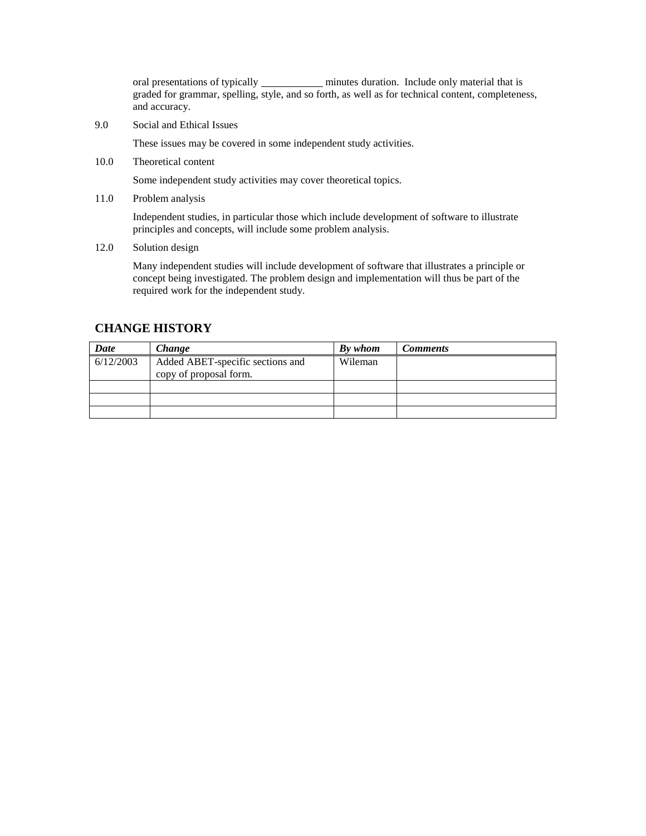oral presentations of typically **minutes** duration. Include only material that is graded for grammar, spelling, style, and so forth, as well as for technical content, completeness, and accuracy.

9.0 Social and Ethical Issues

These issues may be covered in some independent study activities.

10.0 Theoretical content

Some independent study activities may cover theoretical topics.

11.0 Problem analysis

Independent studies, in particular those which include development of software to illustrate principles and concepts, will include some problem analysis.

12.0 Solution design

Many independent studies will include development of software that illustrates a principle or concept being investigated. The problem design and implementation will thus be part of the required work for the independent study.

# **CHANGE HISTORY**

| Date      | Change                                                     | By whom | Comments |
|-----------|------------------------------------------------------------|---------|----------|
| 6/12/2003 | Added ABET-specific sections and<br>copy of proposal form. | Wileman |          |
|           |                                                            |         |          |
|           |                                                            |         |          |
|           |                                                            |         |          |